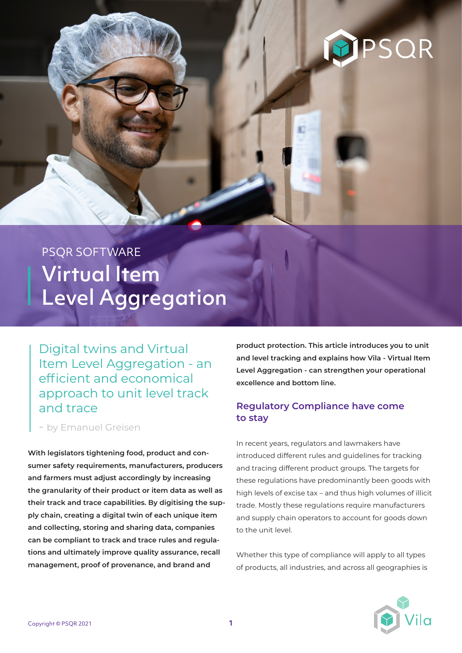# PSQR

## PSQR SOFTWARE Virtual Item Level Aggregation

Digital twins and Virtual Item Level Aggregation - an efficient and economical approach to unit level track and trace

- by Emanuel Greisen

**With legislators tightening food, product and consumer safety requirements, manufacturers, producers and farmers must adjust accordingly by increasing the granularity of their product or item data as well as their track and trace capabilities. By digitising the supply chain, creating a digital twin of each unique item and collecting, storing and sharing data, companies can be compliant to track and trace rules and regulations and ultimately improve quality assurance, recall management, proof of provenance, and brand and** 

**product protection. This article introduces you to unit and level tracking and explains how Vila - Virtual Item Level Aggregation - can strengthen your operational excellence and bottom line.**

#### **Regulatory Compliance have come to stay**

In recent years, regulators and lawmakers have introduced different rules and guidelines for tracking and tracing different product groups. The targets for these regulations have predominantly been goods with high levels of excise tax – and thus high volumes of illicit trade. Mostly these regulations require manufacturers and supply chain operators to account for goods down to the unit level.

Whether this type of compliance will apply to all types of products, all industries, and across all geographies is

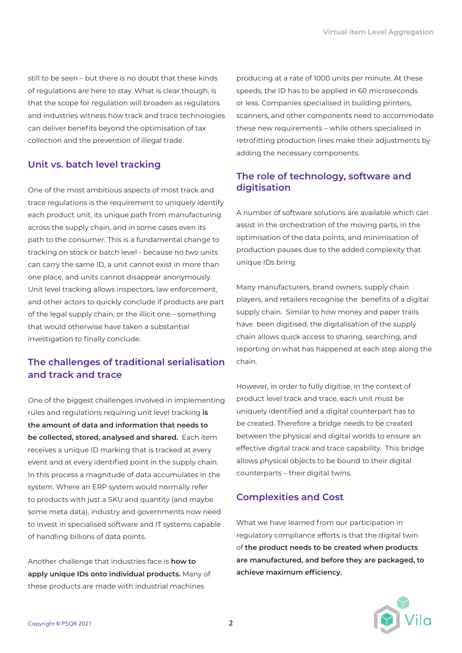still to be seen – but there is no doubt that these kinds of regulations are here to stay. What is clear though, is that the scope for regulation will broaden as regulators and industries witness how track and trace technologies can deliver benefits beyond the optimisation of tax collection and the prevention of illegal trade.

#### **Unit vs. batch level tracking**

One of the most ambitious aspects of most track and trace regulations is the requirement to uniquely identify each product unit, its unique path from manufacturing across the supply chain, and in some cases even its path to the consumer. This is a fundamental change to tracking on stock or batch level - because no two units can carry the same ID, a unit cannot exist in more than one place, and units cannot disappear anonymously. Unit level tracking allows inspectors, law enforcement, and other actors to quickly conclude if products are part of the legal supply chain, or the illicit one – something that would otherwise have taken a substantial investigation to finally conclude.

#### **The challenges of traditional serialisation and track and trace**

One of the biggest challenges involved in implementing rules and regulations requiring unit level tracking **is the amount of data and information that needs to be collected, stored, analysed and shared.** Each item receives a unique ID marking that is tracked at every event and at every identified point in the supply chain. In this process a magnitude of data accumulates in the system. Where an ERP system would normally refer to products with just a SKU and quantity (and maybe some meta data), industry and governments now need to invest in specialised software and IT systems capable of handling billions of data points.

Another challenge that industries face is **how to apply unique IDs onto individual products.** Many of these products are made with industrial machines

producing at a rate of 1000 units per minute. At these speeds, the ID has to be applied in 60 microseconds or less. Companies specialised in building printers, scanners, and other components need to accommodate these new requirements – while others specialised in retrofitting production lines make their adjustments by adding the necessary components.

#### **The role of technology, software and digitisation**

A number of software solutions are available which can assist in the orchestration of the moving parts, in the optimisation of the data points, and minimisation of production pauses due to the added complexity that unique IDs bring.

Many manufacturers, brand owners, supply chain players, and retailers recognise the benefits of a digital supply chain. Similar to how money and paper trails have been digitised, the digitalisation of the supply chain allows quick access to sharing, searching, and reporting on what has happened at each step along the chain.

However, in order to fully digitise, in the context of product level track and trace, each unit must be uniquely identified and a digital counterpart has to be created. Therefore a bridge needs to be created between the physical and digital worlds to ensure an effective digital track and trace capability. This bridge allows physical objects to be bound to their digital counterparts – their digital twins.

#### **Complexities and Cost**

What we have learned from our participation in regulatory compliance efforts is that the digital twin of **the product needs to be created when products are manufactured, and before they are packaged, to achieve maximum efficiency.**

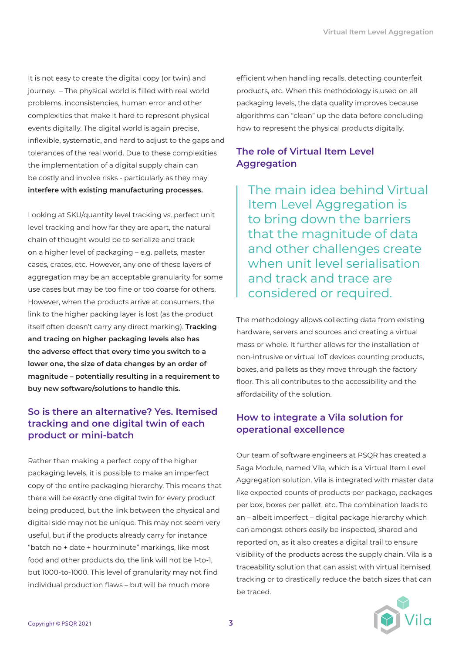It is not easy to create the digital copy (or twin) and journey. – The physical world is filled with real world problems, inconsistencies, human error and other complexities that make it hard to represent physical events digitally. The digital world is again precise, inflexible, systematic, and hard to adjust to the gaps and tolerances of the real world. Due to these complexities the implementation of a digital supply chain can be costly and involve risks - particularly as they may **interfere with existing manufacturing processes.**

Looking at SKU/quantity level tracking vs. perfect unit level tracking and how far they are apart, the natural chain of thought would be to serialize and track on a higher level of packaging – e.g. pallets, master cases, crates, etc. However, any one of these layers of aggregation may be an acceptable granularity for some use cases but may be too fine or too coarse for others. However, when the products arrive at consumers, the link to the higher packing layer is lost (as the product itself often doesn't carry any direct marking). **Tracking and tracing on higher packaging levels also has the adverse effect that every time you switch to a lower one, the size of data changes by an order of magnitude – potentially resulting in a requirement to buy new software/solutions to handle this.**

#### **So is there an alternative? Yes. Itemised tracking and one digital twin of each product or mini-batch**

Rather than making a perfect copy of the higher packaging levels, it is possible to make an imperfect copy of the entire packaging hierarchy. This means that there will be exactly one digital twin for every product being produced, but the link between the physical and digital side may not be unique. This may not seem very useful, but if the products already carry for instance "batch no + date + hour:minute" markings, like most food and other products do, the link will not be 1-to-1, but 1000-to-1000. This level of granularity may not find individual production flaws – but will be much more

efficient when handling recalls, detecting counterfeit products, etc. When this methodology is used on all packaging levels, the data quality improves because algorithms can "clean" up the data before concluding how to represent the physical products digitally.

#### **The role of Virtual Item Level Aggregation**

The main idea behind Virtual Item Level Aggregation is to bring down the barriers that the magnitude of data and other challenges create when unit level serialisation and track and trace are considered or required.

The methodology allows collecting data from existing hardware, servers and sources and creating a virtual mass or whole. It further allows for the installation of non-intrusive or virtual IoT devices counting products, boxes, and pallets as they move through the factory floor. This all contributes to the accessibility and the affordability of the solution.

#### **How to integrate a Vila solution for operational excellence**

Our team of software engineers at PSQR has created a Saga Module, named Vila, which is a Virtual Item Level Aggregation solution. Vila is integrated with master data like expected counts of products per package, packages per box, boxes per pallet, etc. The combination leads to an – albeit imperfect – digital package hierarchy which can amongst others easily be inspected, shared and reported on, as it also creates a digital trail to ensure visibility of the products across the supply chain. Vila is a traceability solution that can assist with virtual itemised tracking or to drastically reduce the batch sizes that can be traced.

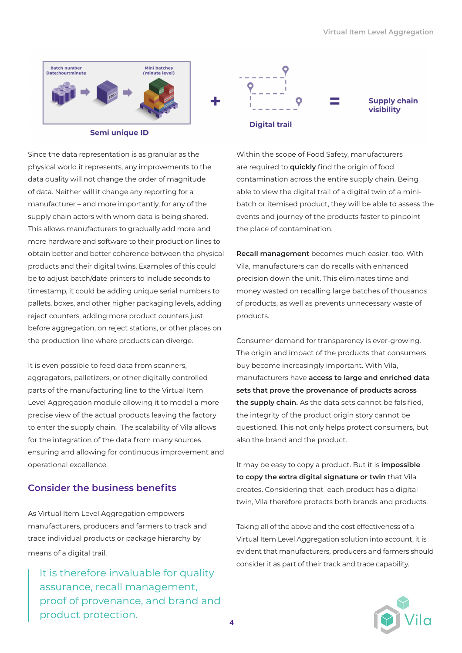

**Semi unique ID** 

Since the data representation is as granular as the physical world it represents, any improvements to the data quality will not change the order of magnitude of data. Neither will it change any reporting for a manufacturer – and more importantly, for any of the supply chain actors with whom data is being shared. This allows manufacturers to gradually add more and more hardware and software to their production lines to obtain better and better coherence between the physical products and their digital twins. Examples of this could be to adjust batch/date printers to include seconds to timestamp, it could be adding unique serial numbers to pallets, boxes, and other higher packaging levels, adding reject counters, adding more product counters just before aggregation, on reject stations, or other places on the production line where products can diverge.

It is even possible to feed data from scanners, aggregators, palletizers, or other digitally controlled parts of the manufacturing line to the Virtual Item Level Aggregation module allowing it to model a more precise view of the actual products leaving the factory to enter the supply chain. The scalability of Vila allows for the integration of the data from many sources ensuring and allowing for continuous improvement and operational excellence.

#### **Consider the business benefits**

As Virtual Item Level Aggregation empowers manufacturers, producers and farmers to track and trace individual products or package hierarchy by means of a digital trail.

It is therefore invaluable for quality assurance, recall management, proof of provenance, and brand and product protection.



Within the scope of Food Safety, manufacturers are required to **quickly** find the origin of food contamination across the entire supply chain. Being able to view the digital trail of a digital twin of a minibatch or itemised product, they will be able to assess the events and journey of the products faster to pinpoint the place of contamination.

**Recall management** becomes much easier, too. With Vila, manufacturers can do recalls with enhanced precision down the unit. This eliminates time and money wasted on recalling large batches of thousands of products, as well as prevents unnecessary waste of products.

Consumer demand for transparency is ever-growing. The origin and impact of the products that consumers buy become increasingly important. With Vila, manufacturers have **access to large and enriched data sets that prove the provenance of products across the supply chain.** As the data sets cannot be falsified, the integrity of the product origin story cannot be questioned. This not only helps protect consumers, but also the brand and the product.

It may be easy to copy a product. But it is **impossible to copy the extra digital signature or twin** that Vila creates. Considering that each product has a digital twin, Vila therefore protects both brands and products.

Taking all of the above and the cost effectiveness of a Virtual Item Level Aggregation solution into account, it is evident that manufacturers, producers and farmers should consider it as part of their track and trace capability.